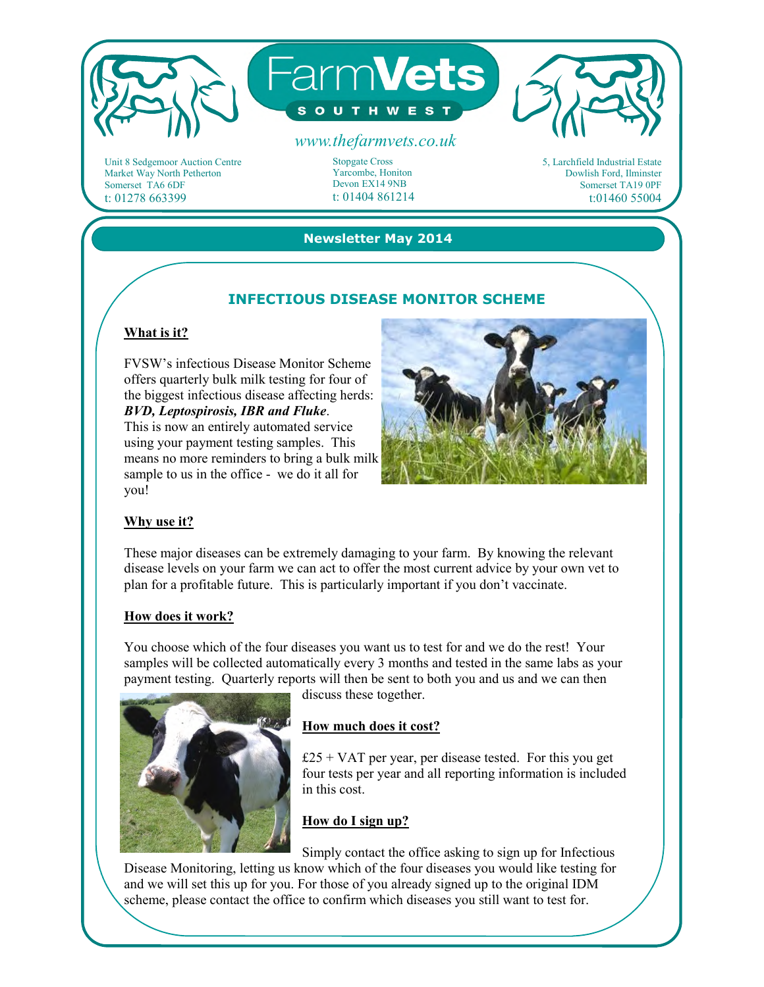

Unit 8 Sedgemoor Auction Centre Market Way North Petherton Somerset TA6 6DF t: 01278 663399

Stopgate Cross Yarcombe, Honiton Devon EX14 9NB t: 01404 861214 5, Larchfield Industrial Estate Dowlish Ford, Ilminster Somerset TA19 0PF t:01460 55004

### **Newsletter May 2014**

# **INFECTIOUS DISEASE MONITOR SCHEME**

# **What is it?**

FVSW's infectious Disease Monitor Scheme offers quarterly bulk milk testing for four of the biggest infectious disease affecting herds: *BVD, Leptospirosis, IBR and Fluke*.

This is now an entirely automated service using your payment testing samples. This means no more reminders to bring a bulk milk sample to us in the office - we do it all for you!



## **Why use it?**

These major diseases can be extremely damaging to your farm. By knowing the relevant disease levels on your farm we can act to offer the most current advice by your own vet to plan for a profitable future. This is particularly important if you don't vaccinate.

#### **How does it work?**

You choose which of the four diseases you want us to test for and we do the rest! Your samples will be collected automatically every 3 months and tested in the same labs as your payment testing. Quarterly reports will then be sent to both you and us and we can then



discuss these together.

### **How much does it cost?**

 $£25 + VAT$  per year, per disease tested. For this you get four tests per year and all reporting information is included in this cost.

## **How do I sign up?**

Simply contact the office asking to sign up for Infectious Disease Monitoring, letting us know which of the four diseases you would like testing for and we will set this up for you. For those of you already signed up to the original IDM scheme, please contact the office to confirm which diseases you still want to test for.